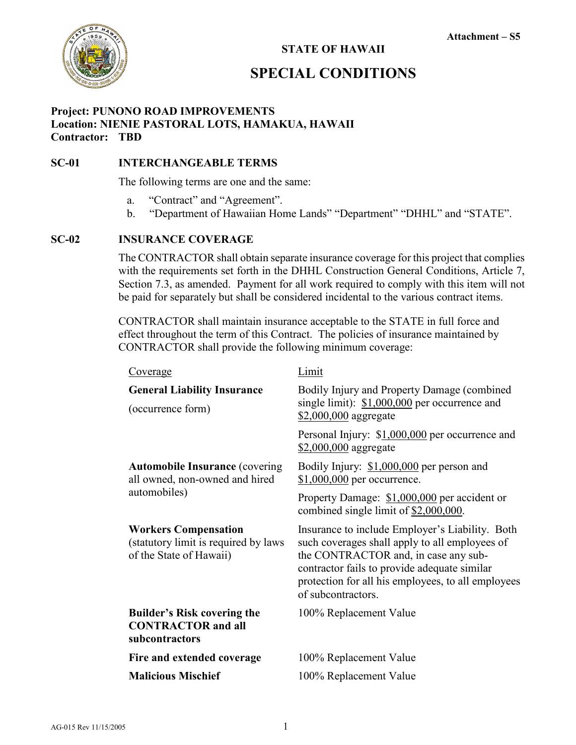

#### **STATE OF HAWAII**

### **SPECIAL CONDITIONS**

#### **Project: PUNONO ROAD IMPROVEMENTS Location: NIENIE PASTORAL LOTS, HAMAKUA, HAWAII Contractor: TBD**

#### **SC-01 INTERCHANGEABLE TERMS**

The following terms are one and the same:

- a. "Contract" and "Agreement".
- b. "Department of Hawaiian Home Lands" "Department" "DHHL" and "STATE".

#### **SC-02 INSURANCE COVERAGE**

The CONTRACTOR shall obtain separate insurance coverage for this project that complies with the requirements set forth in the DHHL Construction General Conditions, Article 7, Section 7.3, as amended. Payment for all work required to comply with this item will not be paid for separately but shall be considered incidental to the various contract items.

CONTRACTOR shall maintain insurance acceptable to the STATE in full force and effect throughout the term of this Contract. The policies of insurance maintained by CONTRACTOR shall provide the following minimum coverage:

| Limit                                                                                                                                                                                                                                                                 |
|-----------------------------------------------------------------------------------------------------------------------------------------------------------------------------------------------------------------------------------------------------------------------|
| Bodily Injury and Property Damage (combined<br>single limit): $$1,000,000$ per occurrence and<br>\$2,000,000 aggregate                                                                                                                                                |
| Personal Injury: \$1,000,000 per occurrence and<br>\$2,000,000 aggregate                                                                                                                                                                                              |
| Bodily Injury: \$1,000,000 per person and<br>\$1,000,000 per occurrence.                                                                                                                                                                                              |
| Property Damage: \$1,000,000 per accident or<br>combined single limit of \$2,000,000.                                                                                                                                                                                 |
| Insurance to include Employer's Liability. Both<br>such coverages shall apply to all employees of<br>the CONTRACTOR and, in case any sub-<br>contractor fails to provide adequate similar<br>protection for all his employees, to all employees<br>of subcontractors. |
| 100% Replacement Value                                                                                                                                                                                                                                                |
| 100% Replacement Value                                                                                                                                                                                                                                                |
| 100% Replacement Value                                                                                                                                                                                                                                                |
|                                                                                                                                                                                                                                                                       |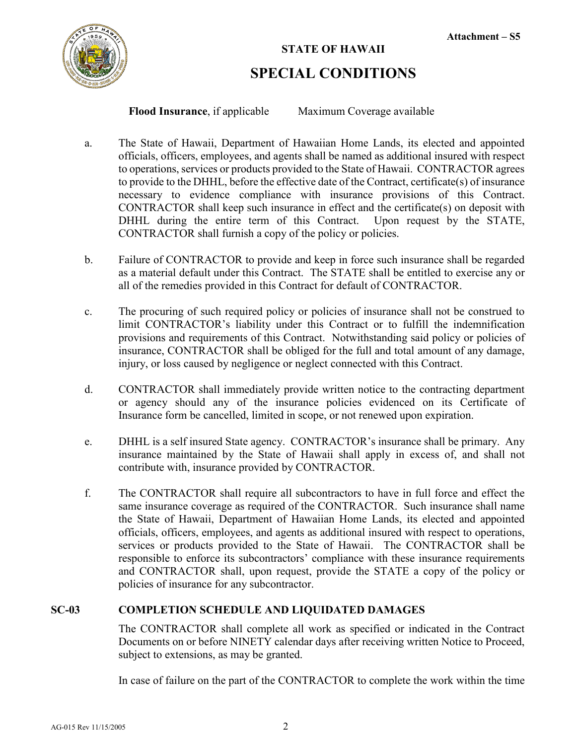

**Flood Insurance**, if applicable Maximum Coverage available

- a. The State of Hawaii, Department of Hawaiian Home Lands, its elected and appointed officials, officers, employees, and agents shall be named as additional insured with respect to operations, services or products provided to the State of Hawaii. CONTRACTOR agrees to provide to the DHHL, before the effective date of the Contract, certificate(s) of insurance necessary to evidence compliance with insurance provisions of this Contract. CONTRACTOR shall keep such insurance in effect and the certificate(s) on deposit with DHHL during the entire term of this Contract. Upon request by the STATE, CONTRACTOR shall furnish a copy of the policy or policies.
- b. Failure of CONTRACTOR to provide and keep in force such insurance shall be regarded as a material default under this Contract. The STATE shall be entitled to exercise any or all of the remedies provided in this Contract for default of CONTRACTOR.
- c. The procuring of such required policy or policies of insurance shall not be construed to limit CONTRACTOR's liability under this Contract or to fulfill the indemnification provisions and requirements of this Contract. Notwithstanding said policy or policies of insurance, CONTRACTOR shall be obliged for the full and total amount of any damage, injury, or loss caused by negligence or neglect connected with this Contract.
- d. CONTRACTOR shall immediately provide written notice to the contracting department or agency should any of the insurance policies evidenced on its Certificate of Insurance form be cancelled, limited in scope, or not renewed upon expiration.
- e. DHHL is a self insured State agency. CONTRACTOR's insurance shall be primary. Any insurance maintained by the State of Hawaii shall apply in excess of, and shall not contribute with, insurance provided by CONTRACTOR.
- f. The CONTRACTOR shall require all subcontractors to have in full force and effect the same insurance coverage as required of the CONTRACTOR. Such insurance shall name the State of Hawaii, Department of Hawaiian Home Lands, its elected and appointed officials, officers, employees, and agents as additional insured with respect to operations, services or products provided to the State of Hawaii. The CONTRACTOR shall be responsible to enforce its subcontractors' compliance with these insurance requirements and CONTRACTOR shall, upon request, provide the STATE a copy of the policy or policies of insurance for any subcontractor.

#### **SC-03 COMPLETION SCHEDULE AND LIQUIDATED DAMAGES**

The CONTRACTOR shall complete all work as specified or indicated in the Contract Documents on or before NINETY calendar days after receiving written Notice to Proceed, subject to extensions, as may be granted.

In case of failure on the part of the CONTRACTOR to complete the work within the time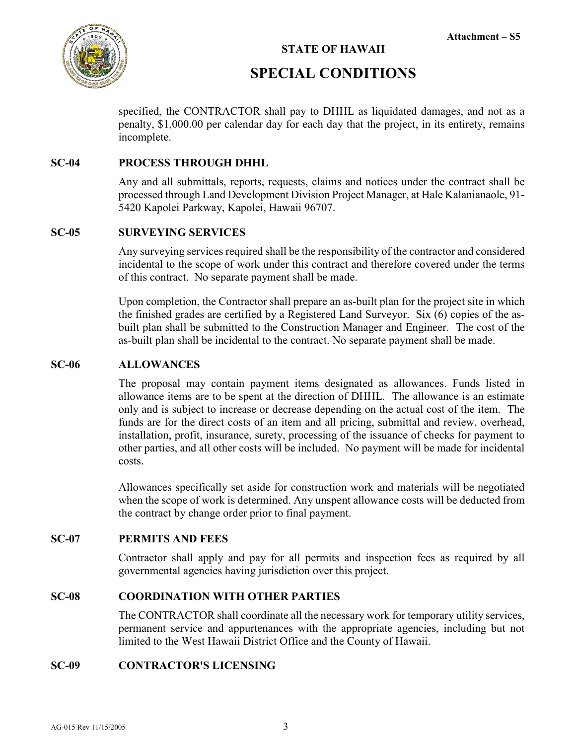

#### **STATE OF HAWAII**

## **SPECIAL CONDITIONS**

specified, the CONTRACTOR shall pay to DHHL as liquidated damages, and not as a penalty, \$1,000.00 per calendar day for each day that the project, in its entirety, remains incomplete.

#### **SC-04 PROCESS THROUGH DHHL**

Any and all submittals, reports, requests, claims and notices under the contract shall be processed through Land Development Division Project Manager, at Hale Kalanianaole, 91- 5420 Kapolei Parkway, Kapolei, Hawaii 96707.

#### **SC-05 SURVEYING SERVICES**

Any surveying services required shall be the responsibility of the contractor and considered incidental to the scope of work under this contract and therefore covered under the terms of this contract. No separate payment shall be made.

Upon completion, the Contractor shall prepare an as-built plan for the project site in which the finished grades are certified by a Registered Land Surveyor. Six (6) copies of the asbuilt plan shall be submitted to the Construction Manager and Engineer. The cost of the as-built plan shall be incidental to the contract. No separate payment shall be made.

#### **SC-06 ALLOWANCES**

The proposal may contain payment items designated as allowances. Funds listed in allowance items are to be spent at the direction of DHHL. The allowance is an estimate only and is subject to increase or decrease depending on the actual cost of the item. The funds are for the direct costs of an item and all pricing, submittal and review, overhead, installation, profit, insurance, surety, processing of the issuance of checks for payment to other parties, and all other costs will be included. No payment will be made for incidental costs.

Allowances specifically set aside for construction work and materials will be negotiated when the scope of work is determined. Any unspent allowance costs will be deducted from the contract by change order prior to final payment.

#### **SC-07 PERMITS AND FEES**

Contractor shall apply and pay for all permits and inspection fees as required by all governmental agencies having jurisdiction over this project.

#### **SC-08 COORDINATION WITH OTHER PARTIES**

The CONTRACTOR shall coordinate all the necessary work for temporary utility services, permanent service and appurtenances with the appropriate agencies, including but not limited to the West Hawaii District Office and the County of Hawaii.

#### **SC-09 CONTRACTOR'S LICENSING**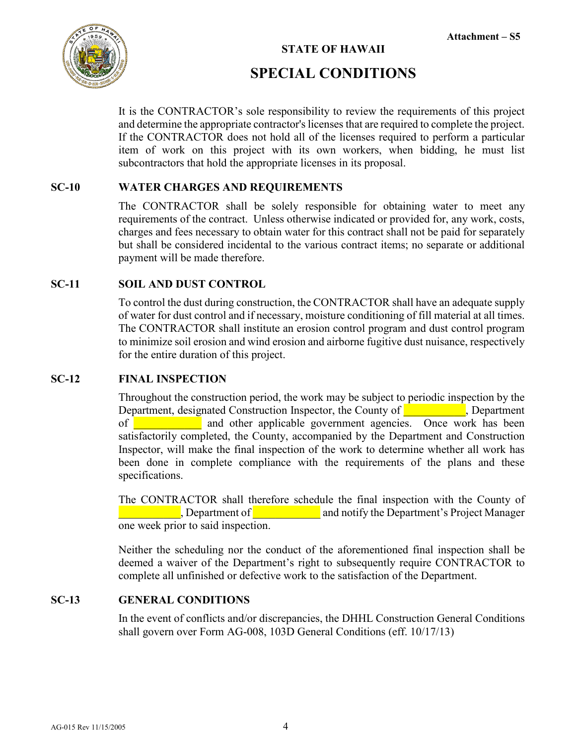

#### **Attachment – S5**

#### **STATE OF HAWAII**

## **SPECIAL CONDITIONS**

It is the CONTRACTOR's sole responsibility to review the requirements of this project and determine the appropriate contractor's licenses that are required to complete the project. If the CONTRACTOR does not hold all of the licenses required to perform a particular item of work on this project with its own workers, when bidding, he must list subcontractors that hold the appropriate licenses in its proposal.

#### **SC-10 WATER CHARGES AND REQUIREMENTS**

The CONTRACTOR shall be solely responsible for obtaining water to meet any requirements of the contract. Unless otherwise indicated or provided for, any work, costs, charges and fees necessary to obtain water for this contract shall not be paid for separately but shall be considered incidental to the various contract items; no separate or additional payment will be made therefore.

#### **SC-11 SOIL AND DUST CONTROL**

To control the dust during construction, the CONTRACTOR shall have an adequate supply of water for dust control and if necessary, moisture conditioning of fill material at all times. The CONTRACTOR shall institute an erosion control program and dust control program to minimize soil erosion and wind erosion and airborne fugitive dust nuisance, respectively for the entire duration of this project.

#### **SC-12 FINAL INSPECTION**

Throughout the construction period, the work may be subject to periodic inspection by the Department, designated Construction Inspector, the County of **Exercise**, Department of **a contract and other applicable government agencies.** Once work has been satisfactorily completed, the County, accompanied by the Department and Construction Inspector, will make the final inspection of the work to determine whether all work has been done in complete compliance with the requirements of the plans and these specifications.

The CONTRACTOR shall therefore schedule the final inspection with the County of **Example 1** Department of **Example 2** and notify the Department's Project Manager one week prior to said inspection.

Neither the scheduling nor the conduct of the aforementioned final inspection shall be deemed a waiver of the Department's right to subsequently require CONTRACTOR to complete all unfinished or defective work to the satisfaction of the Department.

#### **SC-13 GENERAL CONDITIONS**

In the event of conflicts and/or discrepancies, the DHHL Construction General Conditions shall govern over Form AG-008, 103D General Conditions (eff. 10/17/13)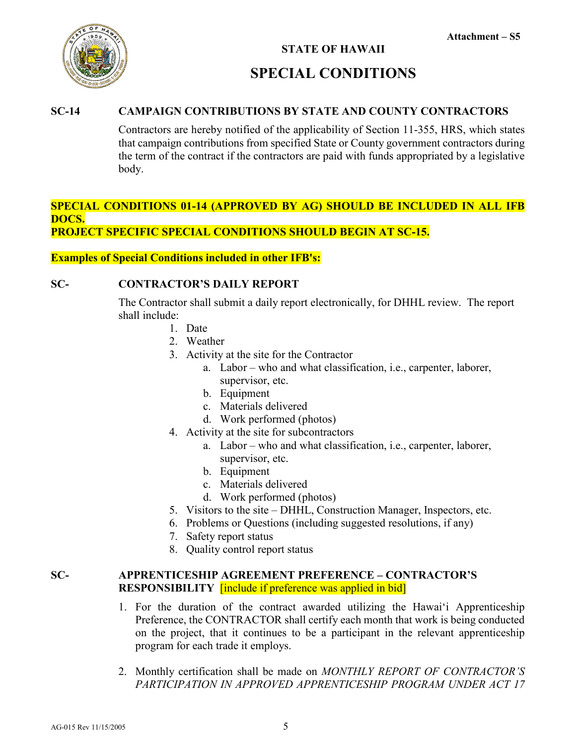

#### **SC-14 CAMPAIGN CONTRIBUTIONS BY STATE AND COUNTY CONTRACTORS**

Contractors are hereby notified of the applicability of Section 11-355, HRS, which states that campaign contributions from specified State or County government contractors during the term of the contract if the contractors are paid with funds appropriated by a legislative body.

#### **SPECIAL CONDITIONS 01-14 (APPROVED BY AG) SHOULD BE INCLUDED IN ALL IFB DOCS. PROJECT SPECIFIC SPECIAL CONDITIONS SHOULD BEGIN AT SC-15.**

#### **Examples of Special Conditions included in other IFB's:**

#### **SC- CONTRACTOR'S DAILY REPORT**

The Contractor shall submit a daily report electronically, for DHHL review. The report shall include:

- 1. Date
- 2. Weather
- 3. Activity at the site for the Contractor
	- a. Labor who and what classification, i.e., carpenter, laborer, supervisor, etc.
	- b. Equipment
	- c. Materials delivered
	- d. Work performed (photos)
- 4. Activity at the site for subcontractors
	- a. Labor who and what classification, i.e., carpenter, laborer, supervisor, etc.
	- b. Equipment
	- c. Materials delivered
	- d. Work performed (photos)
- 5. Visitors to the site DHHL, Construction Manager, Inspectors, etc.
- 6. Problems or Questions (including suggested resolutions, if any)
- 7. Safety report status
- 8. Quality control report status

#### **SC- APPRENTICESHIP AGREEMENT PREFERENCE – CONTRACTOR'S RESPONSIBILITY** [include if preference was applied in bid]

- 1. For the duration of the contract awarded utilizing the Hawai'i Apprenticeship Preference, the CONTRACTOR shall certify each month that work is being conducted on the project, that it continues to be a participant in the relevant apprenticeship program for each trade it employs.
- 2. Monthly certification shall be made on *MONTHLY REPORT OF CONTRACTOR'S PARTICIPATION IN APPROVED APPRENTICESHIP PROGRAM UNDER ACT 17*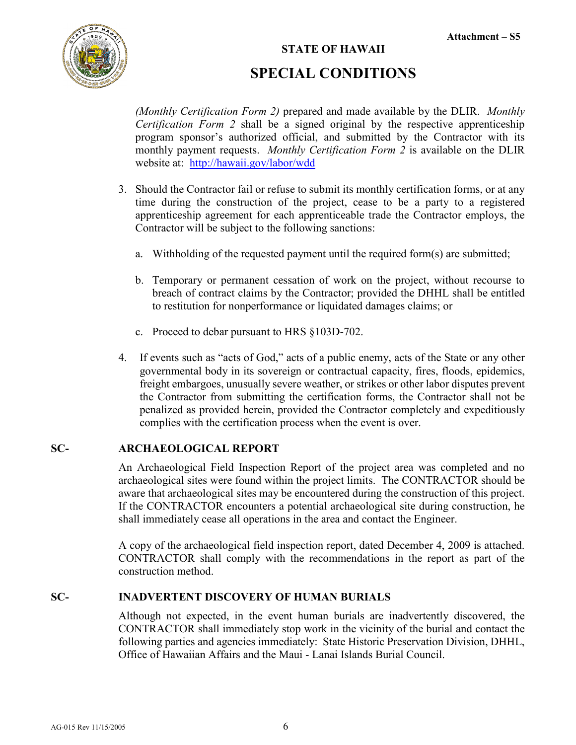#### **Attachment – S5**



#### **STATE OF HAWAII**

## **SPECIAL CONDITIONS**

*(Monthly Certification Form 2)* prepared and made available by the DLIR. *Monthly Certification Form 2* shall be a signed original by the respective apprenticeship program sponsor's authorized official, and submitted by the Contractor with its monthly payment requests. *Monthly Certification Form 2* is available on the DLIR website at: <http://hawaii.gov/labor/wdd>

- 3. Should the Contractor fail or refuse to submit its monthly certification forms, or at any time during the construction of the project, cease to be a party to a registered apprenticeship agreement for each apprenticeable trade the Contractor employs, the Contractor will be subject to the following sanctions:
	- a. Withholding of the requested payment until the required form(s) are submitted;
	- b. Temporary or permanent cessation of work on the project, without recourse to breach of contract claims by the Contractor; provided the DHHL shall be entitled to restitution for nonperformance or liquidated damages claims; or
	- c. Proceed to debar pursuant to HRS §103D-702.
- 4. If events such as "acts of God," acts of a public enemy, acts of the State or any other governmental body in its sovereign or contractual capacity, fires, floods, epidemics, freight embargoes, unusually severe weather, or strikes or other labor disputes prevent the Contractor from submitting the certification forms, the Contractor shall not be penalized as provided herein, provided the Contractor completely and expeditiously complies with the certification process when the event is over.

#### **SC- ARCHAEOLOGICAL REPORT**

An Archaeological Field Inspection Report of the project area was completed and no archaeological sites were found within the project limits. The CONTRACTOR should be aware that archaeological sites may be encountered during the construction of this project. If the CONTRACTOR encounters a potential archaeological site during construction, he shall immediately cease all operations in the area and contact the Engineer.

A copy of the archaeological field inspection report, dated December 4, 2009 is attached. CONTRACTOR shall comply with the recommendations in the report as part of the construction method.

#### **SC- INADVERTENT DISCOVERY OF HUMAN BURIALS**

Although not expected, in the event human burials are inadvertently discovered, the CONTRACTOR shall immediately stop work in the vicinity of the burial and contact the following parties and agencies immediately: State Historic Preservation Division, DHHL, Office of Hawaiian Affairs and the Maui - Lanai Islands Burial Council.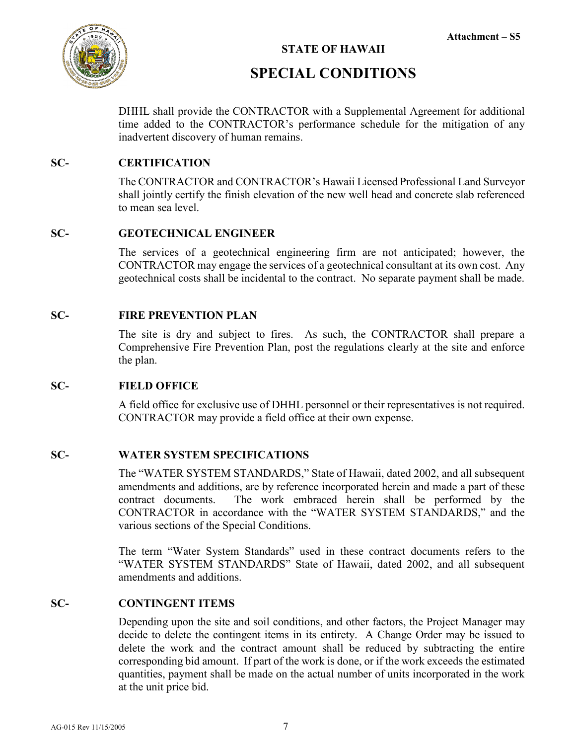

**STATE OF HAWAII**

## **SPECIAL CONDITIONS**

DHHL shall provide the CONTRACTOR with a Supplemental Agreement for additional time added to the CONTRACTOR's performance schedule for the mitigation of any inadvertent discovery of human remains.

#### **SC- CERTIFICATION**

The CONTRACTOR and CONTRACTOR's Hawaii Licensed Professional Land Surveyor shall jointly certify the finish elevation of the new well head and concrete slab referenced to mean sea level.

#### **SC- GEOTECHNICAL ENGINEER**

The services of a geotechnical engineering firm are not anticipated; however, the CONTRACTOR may engage the services of a geotechnical consultant at its own cost. Any geotechnical costs shall be incidental to the contract. No separate payment shall be made.

#### **SC- FIRE PREVENTION PLAN**

The site is dry and subject to fires. As such, the CONTRACTOR shall prepare a Comprehensive Fire Prevention Plan, post the regulations clearly at the site and enforce the plan.

#### **SC- FIELD OFFICE**

A field office for exclusive use of DHHL personnel or their representatives is not required. CONTRACTOR may provide a field office at their own expense.

#### **SC- WATER SYSTEM SPECIFICATIONS**

The "WATER SYSTEM STANDARDS," State of Hawaii, dated 2002, and all subsequent amendments and additions, are by reference incorporated herein and made a part of these contract documents. The work embraced herein shall be performed by the CONTRACTOR in accordance with the "WATER SYSTEM STANDARDS," and the various sections of the Special Conditions.

The term "Water System Standards" used in these contract documents refers to the "WATER SYSTEM STANDARDS" State of Hawaii, dated 2002, and all subsequent amendments and additions.

#### **SC- CONTINGENT ITEMS**

Depending upon the site and soil conditions, and other factors, the Project Manager may decide to delete the contingent items in its entirety. A Change Order may be issued to delete the work and the contract amount shall be reduced by subtracting the entire corresponding bid amount. If part of the work is done, or if the work exceeds the estimated quantities, payment shall be made on the actual number of units incorporated in the work at the unit price bid.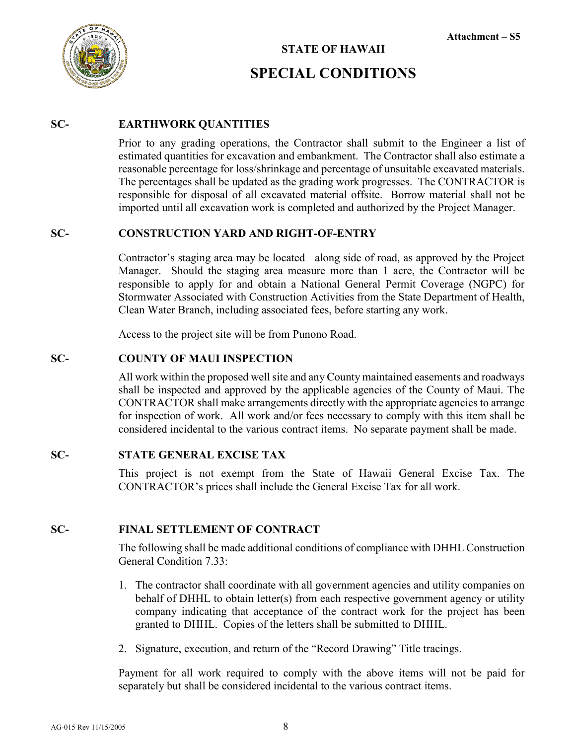



#### **SC- EARTHWORK QUANTITIES**

Prior to any grading operations, the Contractor shall submit to the Engineer a list of estimated quantities for excavation and embankment. The Contractor shall also estimate a reasonable percentage for loss/shrinkage and percentage of unsuitable excavated materials. The percentages shall be updated as the grading work progresses. The CONTRACTOR is responsible for disposal of all excavated material offsite. Borrow material shall not be imported until all excavation work is completed and authorized by the Project Manager.

#### **SC- CONSTRUCTION YARD AND RIGHT-OF-ENTRY**

Contractor's staging area may be located along side of road, as approved by the Project Manager. Should the staging area measure more than 1 acre, the Contractor will be responsible to apply for and obtain a National General Permit Coverage (NGPC) for Stormwater Associated with Construction Activities from the State Department of Health, Clean Water Branch, including associated fees, before starting any work.

Access to the project site will be from Punono Road.

#### **SC- COUNTY OF MAUI INSPECTION**

All work within the proposed well site and any County maintained easements and roadways shall be inspected and approved by the applicable agencies of the County of Maui. The CONTRACTOR shall make arrangements directly with the appropriate agencies to arrange for inspection of work. All work and/or fees necessary to comply with this item shall be considered incidental to the various contract items. No separate payment shall be made.

#### **SC- STATE GENERAL EXCISE TAX**

This project is not exempt from the State of Hawaii General Excise Tax. The CONTRACTOR's prices shall include the General Excise Tax for all work.

#### **SC- FINAL SETTLEMENT OF CONTRACT**

The following shall be made additional conditions of compliance with DHHL Construction General Condition 7.33:

- 1. The contractor shall coordinate with all government agencies and utility companies on behalf of DHHL to obtain letter(s) from each respective government agency or utility company indicating that acceptance of the contract work for the project has been granted to DHHL. Copies of the letters shall be submitted to DHHL.
- 2. Signature, execution, and return of the "Record Drawing" Title tracings.

Payment for all work required to comply with the above items will not be paid for separately but shall be considered incidental to the various contract items.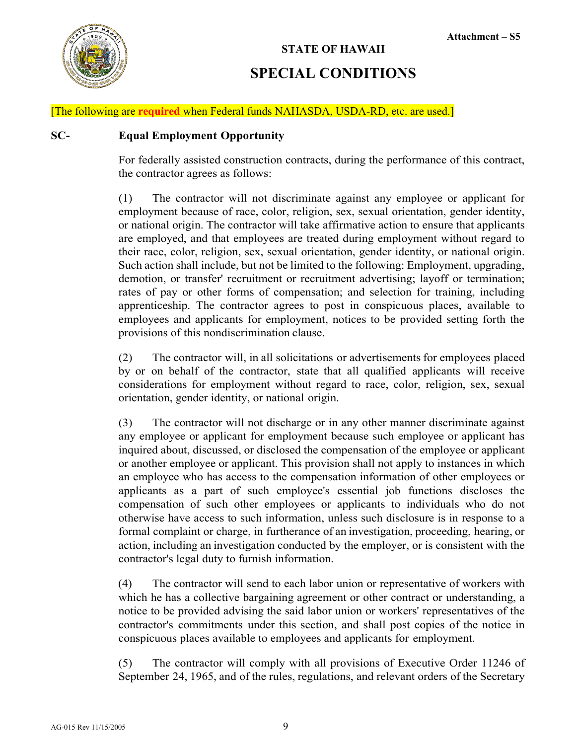

#### [The following are **required** when Federal funds NAHASDA, USDA-RD, etc. are used.]

#### **SC- Equal Employment Opportunity**

For federally assisted construction contracts, during the performance of this contract, the contractor agrees as follows:

(1) The contractor will not discriminate against any employee or applicant for employment because of race, color, religion, sex, sexual orientation, gender identity, or national origin. The contractor will take affirmative action to ensure that applicants are employed, and that employees are treated during employment without regard to their race, color, religion, sex, sexual orientation, gender identity, or national origin. Such action shall include, but not be limited to the following: Employment, upgrading, demotion, or transfer' recruitment or recruitment advertising; layoff or termination; rates of pay or other forms of compensation; and selection for training, including apprenticeship. The contractor agrees to post in conspicuous places, available to employees and applicants for employment, notices to be provided setting forth the provisions of this nondiscrimination clause.

(2) The contractor will, in all solicitations or advertisements for employees placed by or on behalf of the contractor, state that all qualified applicants will receive considerations for employment without regard to race, color, religion, sex, sexual orientation, gender identity, or national origin.

(3) The contractor will not discharge or in any other manner discriminate against any employee or applicant for employment because such employee or applicant has inquired about, discussed, or disclosed the compensation of the employee or applicant or another employee or applicant. This provision shall not apply to instances in which an employee who has access to the compensation information of other employees or applicants as a part of such employee's essential job functions discloses the compensation of such other employees or applicants to individuals who do not otherwise have access to such information, unless such disclosure is in response to a formal complaint or charge, in furtherance of an investigation, proceeding, hearing, or action, including an investigation conducted by the employer, or is consistent with the contractor's legal duty to furnish information.

(4) The contractor will send to each labor union or representative of workers with which he has a collective bargaining agreement or other contract or understanding, a notice to be provided advising the said labor union or workers' representatives of the contractor's commitments under this section, and shall post copies of the notice in conspicuous places available to employees and applicants for employment.

(5) The contractor will comply with all provisions of Executive Order 11246 of September 24, 1965, and of the rules, regulations, and relevant orders of the Secretary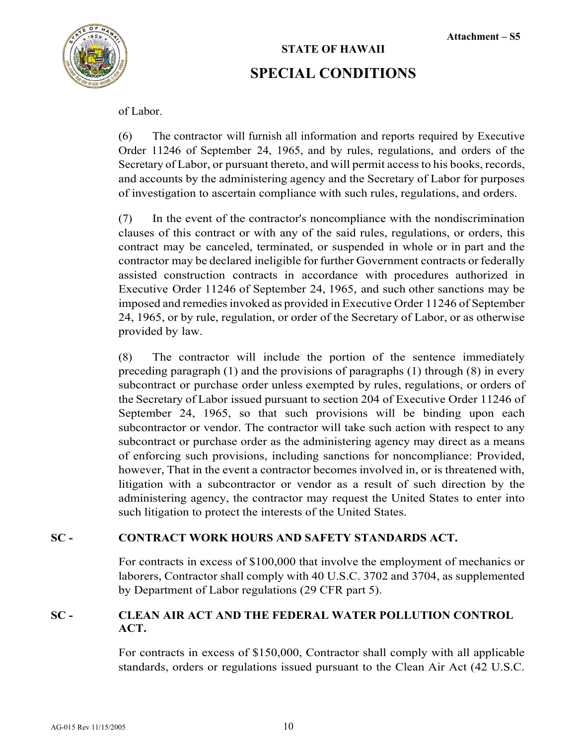



of Labor.

(6) The contractor will furnish all information and reports required by Executive Order 11246 of September 24, 1965, and by rules, regulations, and orders of the Secretary of Labor, or pursuant thereto, and will permit access to his books, records, and accounts by the administering agency and the Secretary of Labor for purposes of investigation to ascertain compliance with such rules, regulations, and orders.

(7) In the event of the contractor's noncompliance with the nondiscrimination clauses of this contract or with any of the said rules, regulations, or orders, this contract may be canceled, terminated, or suspended in whole or in part and the contractor may be declared ineligible for further Government contracts or federally assisted construction contracts in accordance with procedures authorized in Executive Order 11246 of September 24, 1965, and such other sanctions may be imposed and remedies invoked as provided in Executive Order 11246 of September 24, 1965, or by rule, regulation, or order of the Secretary of Labor, or as otherwise provided by law.

(8) The contractor will include the portion of the sentence immediately preceding paragraph (1) and the provisions of paragraphs (1) through (8) in every subcontract or purchase order unless exempted by rules, regulations, or orders of the Secretary of Labor issued pursuant to section 204 of Executive Order 11246 of September 24, 1965, so that such provisions will be binding upon each subcontractor or vendor. The contractor will take such action with respect to any subcontract or purchase order as the administering agency may direct as a means of enforcing such provisions, including sanctions for noncompliance: Provided, however, That in the event a contractor becomes involved in, or is threatened with, litigation with a subcontractor or vendor as a result of such direction by the administering agency, the contractor may request the United States to enter into such litigation to protect the interests of the United States.

#### **SC - CONTRACT WORK HOURS AND SAFETY STANDARDS ACT.**

For contracts in excess of \$100,000 that involve the employment of mechanics or laborers, Contractor shall comply with 40 U.S.C. 3702 and 3704, as supplemented by Department of Labor regulations (29 CFR part 5).

#### **SC - CLEAN AIR ACT AND THE FEDERAL WATER POLLUTION CONTROL ACT.**

For contracts in excess of \$150,000, Contractor shall comply with all applicable standards, orders or regulations issued pursuant to the Clean Air Act (42 U.S.C.